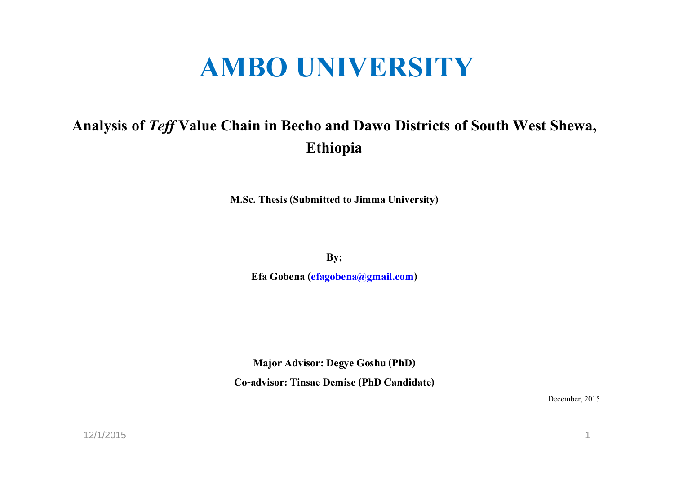# **AMBO UNIVERSITY**

# **Analysis of** *Teff* **Value Chain in Becho and Dawo Districts of South West Shewa, Ethiopia**

**M.Sc. Thesis (Submitted to Jimma University)**

**By;** 

**Efa Gobena (efagobena@gmail.com)**

**Major Advisor: Degye Goshu (PhD)Co-advisor: Tinsae Demise (PhD Candidate)**

December, 2015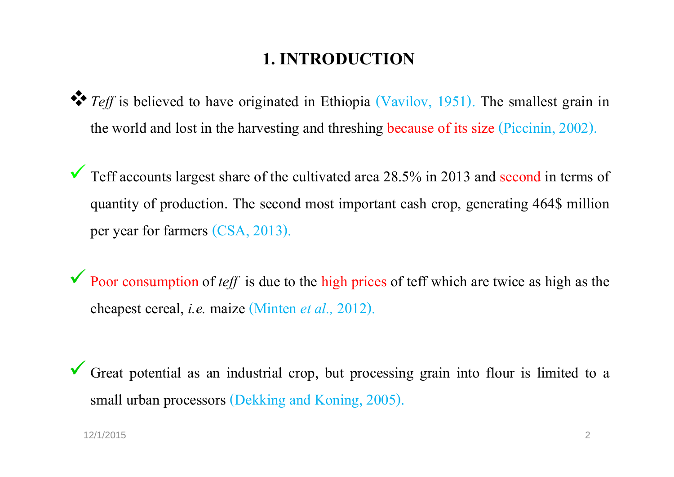## **1. INTRODUCTION**

- *Teff* is believed to have originated in Ethiopia (Vavilov, 1951). The smallest grain in the world and lost in the harvesting and threshing because of its size (Piccinin, 2002).
- $\checkmark$  $\blacktriangledown$  Teff accounts largest share of the cultivated area 28.5% in 2013 and second in terms of quantity of production. The second most important cash crop, generating 464\$ million per year for farmers (CSA, 2013).
- $\checkmark$ **Poor consumption of** *teff* is due to the high prices of teff which are twice as high as the cheapest cereal, *i.e.* maize (Minten*et al.,* 2012).
- $\checkmark$  Great potential as an industrial crop, but processing grain into flour is limited to <sup>a</sup> small urban processors (Dekking and Koning, 2005).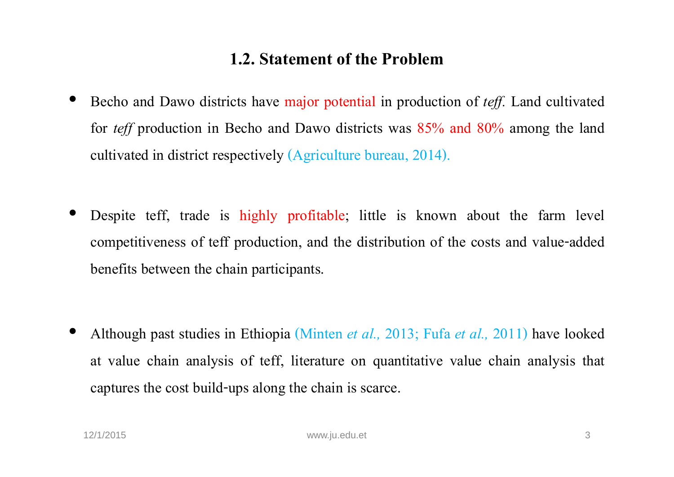#### **1.2. Statement of the Problem**

- • Becho and Dawo districts have major potential in production of *teff.* Land cultivated for *teff* production in Becho and Dawo districts was 85% and 80% among the land cultivated in district respectively (Agriculture bureau, 2014).
- • Despite teff, trade is highly profitable; little is known about the farm level competitiveness of teff production, and the distribution of the costs and value -addedbenefits between the chain participants.

• Although pas<sup>t</sup> studies in Ethiopia (Minten *et al.,* 2013; Fufa *et al.,* 2011) have looked at value chain analysis of teff, literature on quantitative value chain analysis that captures the cost build-ups along the chain is scarce.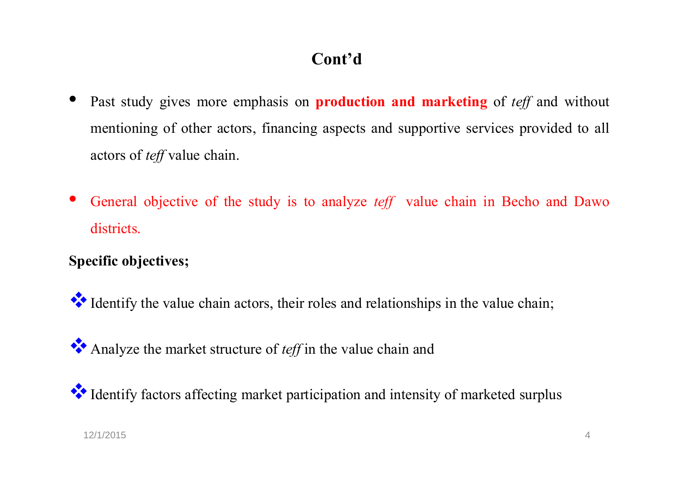# **Cont'd**

- • Past study <sup>g</sup>ives more emphasis on **production and marketing** of *teff* and without mentioning of other actors, financing aspects and supportive services provided to all actors of *teff*value chain.
- • General objective of the study is to analyze *teff* value chain in Becho and Dawo districts.

#### **Specific objectives;**

Identify the value chain actors, their roles and relationships in the value chain;

Analyze the market structure of *teff* in the value chain and

Identify factors affecting market participation and intensity of marketed surplus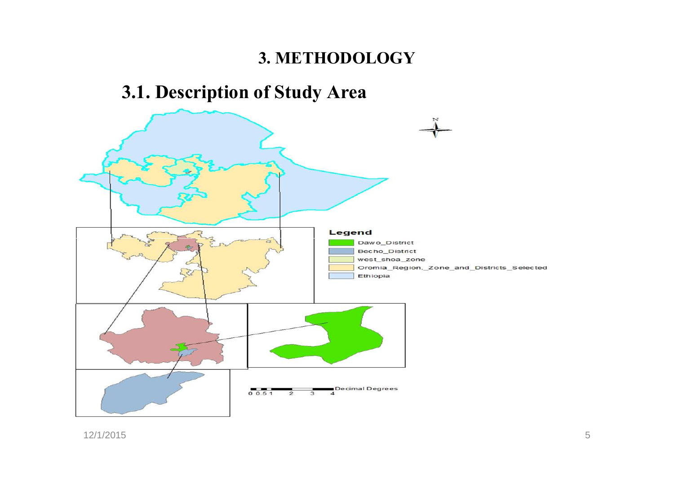# **3. METHODOLOGY**

# **3.1. Description of Study Area**

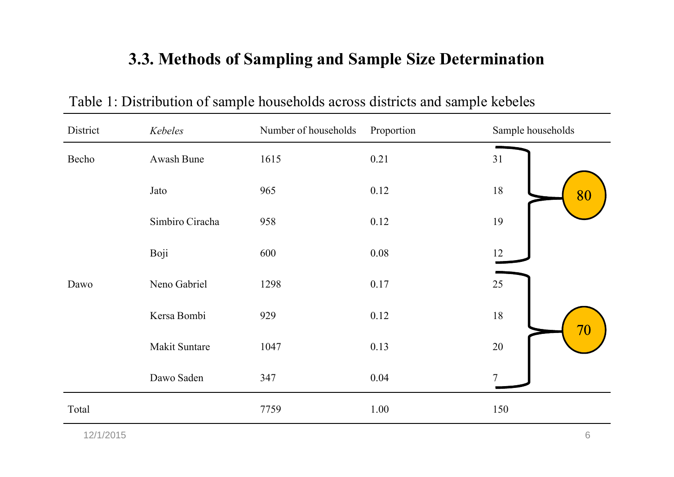# **3.3. Methods of Sampling and Sample Size Determination**

| District | Kebeles              | Number of households | Proportion | Sample households |
|----------|----------------------|----------------------|------------|-------------------|
| Becho    | Awash Bune           | 1615                 | 0.21       | 31                |
|          | Jato                 | 965                  | 0.12       | $18\,$<br>80      |
|          | Simbiro Ciracha      | 958                  | 0.12       | 19                |
|          | Boji                 | 600                  | 0.08       | 12                |
| Dawo     | Neno Gabriel         | 1298                 | 0.17       | 25                |
|          | Kersa Bombi          | 929                  | 0.12       | 18<br>70          |
|          | <b>Makit Suntare</b> | 1047                 | 0.13       | $20\,$            |
|          | Dawo Saden           | 347                  | 0.04       |                   |
| Total    |                      | 7759                 | 1.00       | 150               |

Table 1: Distribution of sample households across districts and sample kebeles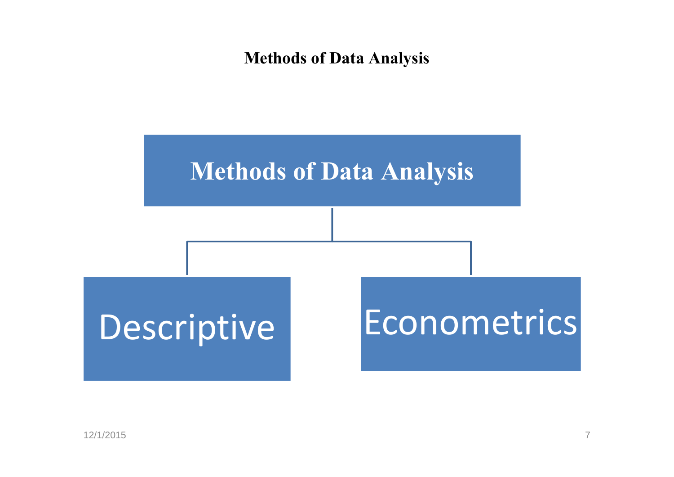#### **Methods of Data Analysis**

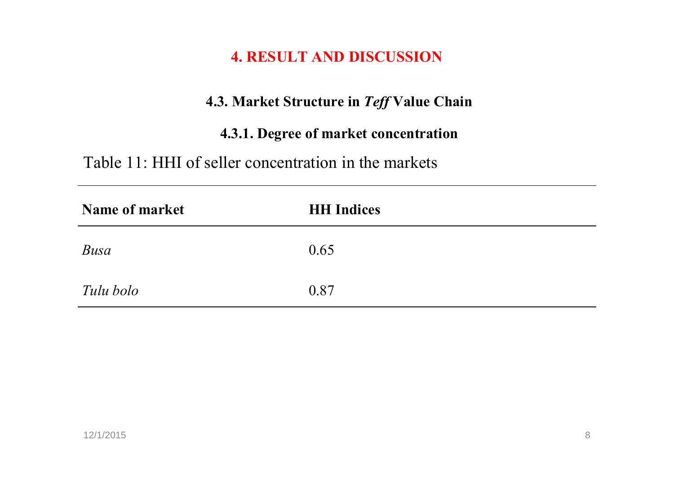#### **4. RESULT AND DISCUSSION**

#### **4.3. Market Structure in** *Teff* **Value Chain**

#### **4.3.1. Degree of market concentration**

Table 11: HHI of seller concentration in the markets

| <b>Name of market</b> | <b>HH</b> Indices |
|-----------------------|-------------------|
| Busa                  | 0.65              |
| Tulu bolo             | 0.87              |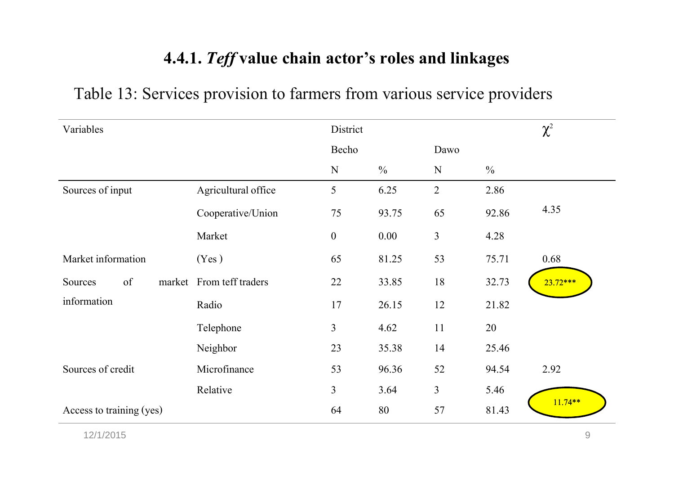## **4.4.1.** *Teff* **value chain actor's roles and linkages**

| Variables                |                          | District       |               |                |               | $\chi^2$   |
|--------------------------|--------------------------|----------------|---------------|----------------|---------------|------------|
|                          |                          | Becho          |               | Dawo           |               |            |
|                          |                          | ${\bf N}$      | $\frac{0}{0}$ | $\mathbf N$    | $\frac{0}{0}$ |            |
| Sources of input         | Agricultural office      | 5              | 6.25          | $\overline{2}$ | 2.86          |            |
|                          | Cooperative/Union        | 75             | 93.75         | 65             | 92.86         | 4.35       |
|                          | Market                   | $\mathbf{0}$   | 0.00          | $\overline{3}$ | 4.28          |            |
| Market information       | (Yes)                    | 65             | 81.25         | 53             | 75.71         | 0.68       |
| of<br>Sources            | market From teff traders | 22             | 33.85         | 18             | 32.73         | $23.72***$ |
| information              | Radio                    | 17             | 26.15         | 12             | 21.82         |            |
|                          | Telephone                | $\overline{3}$ | 4.62          | 11             | 20            |            |
|                          | Neighbor                 | 23             | 35.38         | 14             | 25.46         |            |
| Sources of credit        | Microfinance             | 53             | 96.36         | 52             | 94.54         | 2.92       |
|                          | Relative                 | $\overline{3}$ | 3.64          | $\overline{3}$ | 5.46          |            |
| Access to training (yes) |                          | 64             | 80            | 57             | 81.43         | $11.74**$  |

# Table 13: Services provision to farmers from various service providers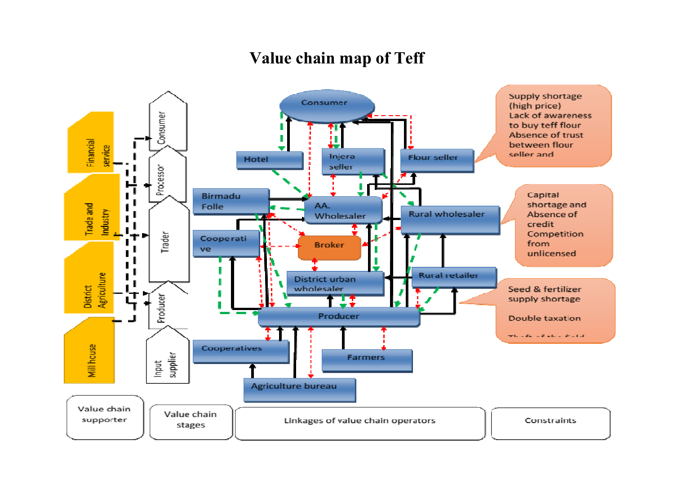#### **Value chain map of Teff**

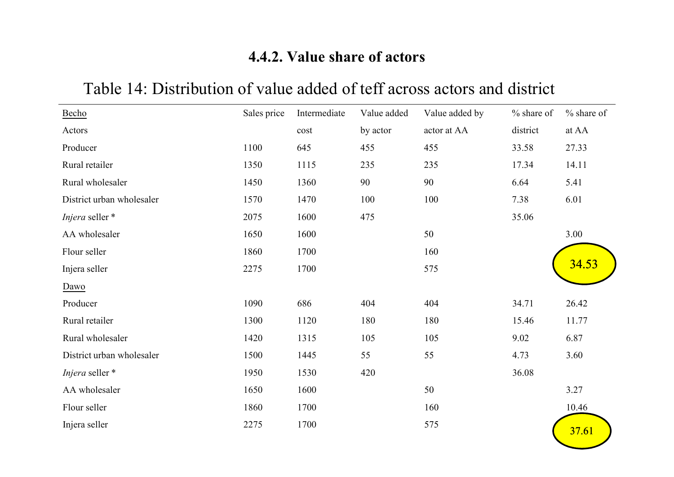#### **4.4.2. Value share of actors**

#### BechoActors Sales price Intermediate costValue added by actorValue added by actor at AA% share of district% share of at AA Producer 1100 645 455 455 33.58 27.33 Rural retailer 1350 1115 235 235 17.34 14.11 Rural wholesaler 1450 1360 90 90 6.64 5.41 District urban wholesaler 1570 1470 100 100 7.38 6.01 *Injera*seller \*\* 2075 1600 475 35.06 AA wholesaler $1650$ 0  $1600$  50  $3.00$ Flour seller $1860$   $1700$   $160$   $160$   $34$ Injera seller $\frac{2275}{1700}$  575 Dawo Producer 1090 686 404 404 34.71 26.42 Rural retailer 1300 1120 180 180 15.46 11.77 Rural wholesaler 1420 1315 105 105 9.02 6.87 District urban wholesaler 1500 1445 55 55 4.73 3.60 *Injera*seller \*\* 1950 1530 420 36.08 AA wholesaler 1650 1600 50 3.27 Flour seller  $1860$   $1700$   $160$   $10.46$ Injera seller  $2275$  1700 575 575 37.6 <mark>37.61</mark> 34.53

#### Table 14: Distribution of value added of teff across actors and district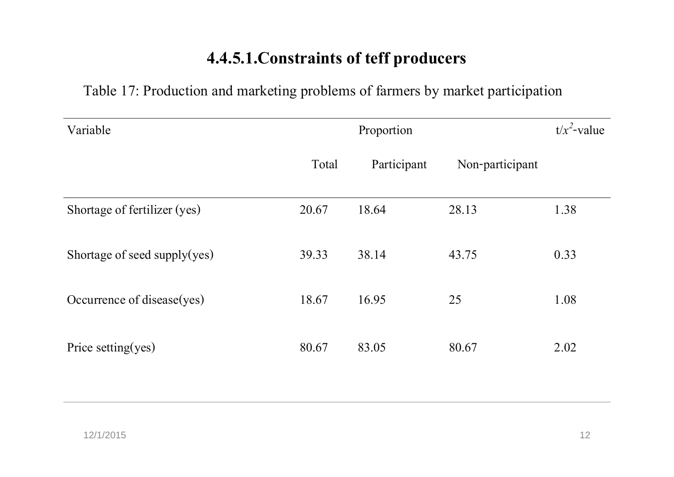# **4.4.5.1.Constraints of teff producers**

Table 17: Production and marketing problems of farmers by market participation

| Variable                     |       | Proportion  |                 | $t/x^2$ -value |
|------------------------------|-------|-------------|-----------------|----------------|
|                              | Total | Participant | Non-participant |                |
| Shortage of fertilizer (yes) | 20.67 | 18.64       | 28.13           | 1.38           |
| Shortage of seed supply(yes) | 39.33 | 38.14       | 43.75           | 0.33           |
| Occurrence of disease(yes)   | 18.67 | 16.95       | 25              | 1.08           |
| Price setting(yes)           | 80.67 | 83.05       | 80.67           | 2.02           |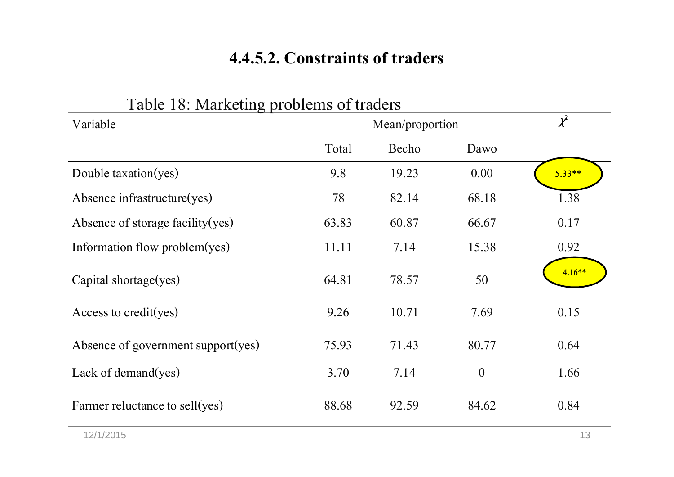# **4.4.5.2. Constraints of traders**

| Variable                           |       | Mean/proportion |          | $\chi^2$ |
|------------------------------------|-------|-----------------|----------|----------|
|                                    | Total | Becho           | Dawo     |          |
| Double taxation(yes)               | 9.8   | 19.23           | 0.00     | $5.33**$ |
| Absence infrastructure(yes)        | 78    | 82.14           | 68.18    | 1.38     |
| Absence of storage facility (yes)  | 63.83 | 60.87           | 66.67    | 0.17     |
| Information flow problem(yes)      | 11.11 | 7.14            | 15.38    | 0.92     |
| Capital shortage(yes)              | 64.81 | 78.57           | 50       | $4.16**$ |
| Access to credit(yes)              | 9.26  | 10.71           | 7.69     | 0.15     |
| Absence of government support(yes) | 75.93 | 71.43           | 80.77    | 0.64     |
| Lack of demand $(yes)$             | 3.70  | 7.14            | $\theta$ | 1.66     |
| Farmer reluctance to sell(yes)     | 88.68 | 92.59           | 84.62    | 0.84     |

#### Table 18: Marketing problems of traders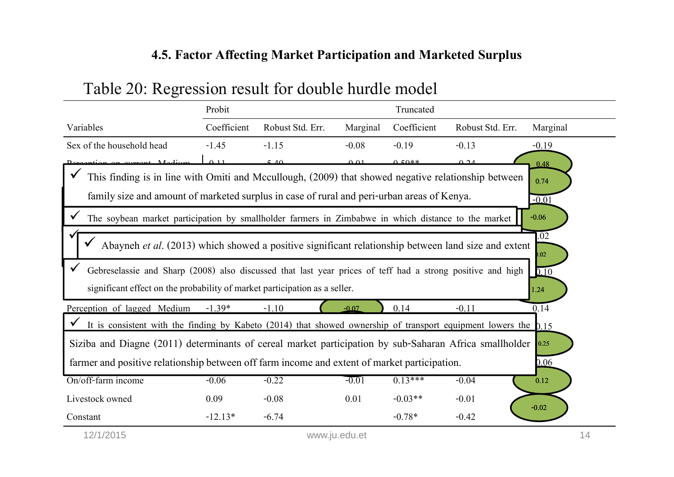#### **4.5. Factor Affecting Market Participation and Marketed Surplus**

|                                                                                                                                                                                          | Probit<br>Truncated |                  |                           |             |                  |              |
|------------------------------------------------------------------------------------------------------------------------------------------------------------------------------------------|---------------------|------------------|---------------------------|-------------|------------------|--------------|
| Variables                                                                                                                                                                                | Coefficient         | Robust Std. Err. | Marginal                  | Coefficient | Robust Std. Err. | Marginal     |
| Sex of the household head                                                                                                                                                                | $-1.45$             | $-1.15$          | $-0.08$                   | $-0.19$     | $-0.13$          | $-0.19$      |
|                                                                                                                                                                                          | $\wedge$ 11         |                  | $\triangle$ $\triangle$ 1 | $0.50**$    | $\cap$ $\cap$ .  | 0.48         |
| This finding is in line with Omiti and Mccullough, (2009) that showed negative relationship between                                                                                      |                     |                  |                           |             |                  | 0.74         |
| family size and amount of marketed surplus in case of rural and peri-urban areas of Kenya.                                                                                               |                     |                  |                           |             |                  | $-0.01$      |
| The soybean market participation by smallholder farmers in Zimbabwe in which distance to the market                                                                                      |                     |                  |                           |             |                  | $-0.06$      |
| Abayneh et al. (2013) which showed a positive significant relationship between land size and extent                                                                                      |                     |                  |                           |             |                  | .02<br>.02   |
| Gebreselassie and Sharp (2008) also discussed that last year prices of teff had a strong positive and high<br>significant effect on the probability of market participation as a seller. |                     |                  |                           |             |                  | 0.10<br>1.24 |
| Perception of lagged Medium                                                                                                                                                              | $-1.39*$            | $-1.10$          | $-0.07$                   | 0.14        | $-0.11$          | 0.14         |
| It is consistent with the finding by Kabeto $(2014)$ that showed ownership of transport equipment lowers the $0.15$                                                                      |                     |                  |                           |             |                  |              |
| Siziba and Diagne (2011) determinants of cereal market participation by sub-Saharan Africa smallholder                                                                                   |                     |                  |                           |             |                  | 0.25         |
|                                                                                                                                                                                          |                     |                  |                           |             |                  |              |
| farmer and positive relationship between off farm income and extent of market participation.                                                                                             |                     |                  |                           |             |                  | 0.06         |
| On/off-farm income                                                                                                                                                                       | $-0.06$             | $-0.22$          | $-0.01$                   | $0.13***$   | $-0.04$          | 0.12         |
| Livestock owned                                                                                                                                                                          | 0.09                | $-0.08$          | 0.01                      | $-0.03**$   | $-0.01$          | $-0.02$      |

## Table 20: Regression result for double hurdle model

12/1/2015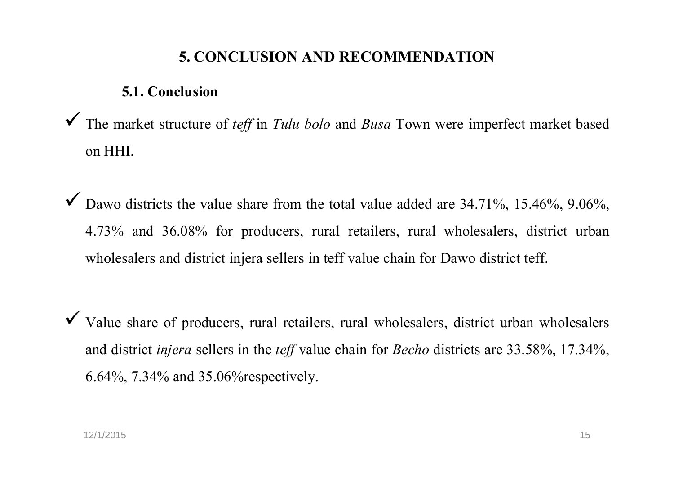#### **5. CONCLUSION AND RECOMMENDATION**

#### **5.1. Conclusion**

 $\checkmark$ The market structure of *teff* in *Tulu bolo* and *Busa* Town were imperfect market based<br> on HHI.

 $\checkmark$  $\blacktriangledown$  Dawo districts the value share from the total value added are 34.71%, 15.46%, 9.06%, 4.73% and 36.08 % for producers, rural retailers, rural wholesalers, district urban wholesalers and district injera sellers in teff value chain for Dawo district teff.

 $\checkmark$  Value share of producers, rural retailers, rural wholesalers, district urban wholesalers and district *injera* sellers in the *teff* value chain for *Becho* districts are 33.58%, 17.34%, 6.64%, 7.34% and 35.06%respectively.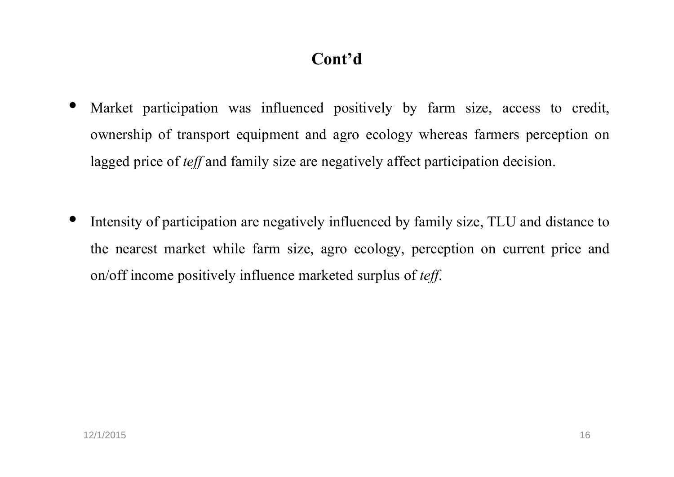# **Cont'd**

- • Market participation was influenced positively by farm size, access to credit, ownership of transport equipment and agro ecology whereas farmers perception on lagged price of *teff* and family size are negatively affect participation decision.
- • Intensity of participation are negatively influenced by family size, TLU and distance to the nearest market while farm size, agro ecology, perception on current price and on/off income positively influence marketed surplus of *teff*.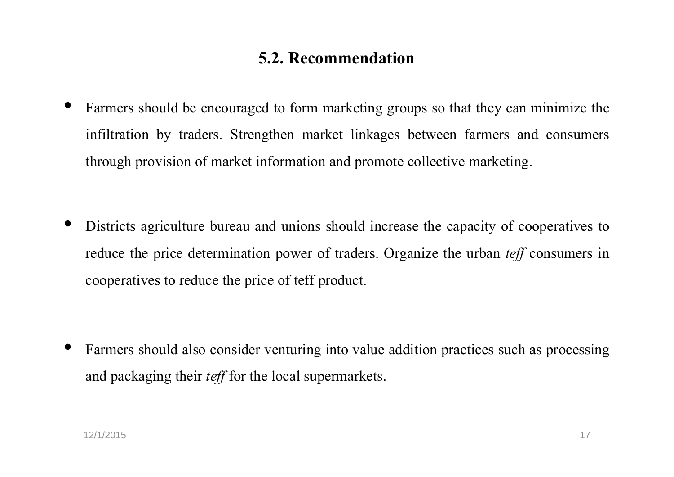#### **5.2. Recommendation**

- • Farmers should be encouraged to form marketing groups so that they can minimize the infiltration by traders. Strengthen market linkages between farmers and consumers through provision of market information and promote collective marketing.
- • Districts agriculture bureau and unions should increase the capacity of cooperatives to reduce the price determination power of traders. Organize the urban *teff* consumers in cooperatives to reduce the price of teff product.

• Farmers should also consider venturing into value addition practices such as processing and packaging their *teff* for the local supermarkets.